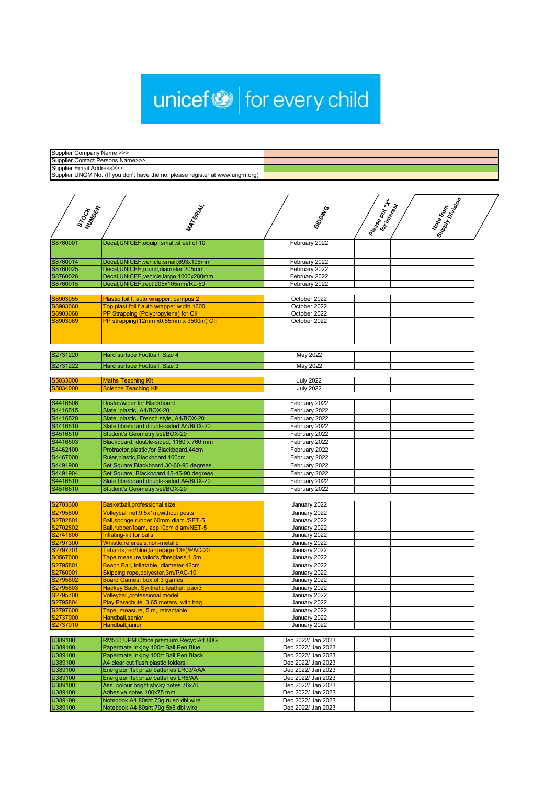## unicef<sup>®</sup> for every child

| Supplier Company Name >>>                                                     |  |
|-------------------------------------------------------------------------------|--|
| Supplier Contact Persons Name>>>                                              |  |
| Supplier Email Address>>>                                                     |  |
| Supplier UNGM No. (If you don't have the no. please register at www.ungm.org) |  |

| STOCH KR             | MATERIAL                                                                       | <b>BIDDING</b>               | Prase put 'n Kest | Superform |  |
|----------------------|--------------------------------------------------------------------------------|------------------------------|-------------------|-----------|--|
| S8760001             | Decal, UNICEF, equip., small, sheet of 10                                      | February 2022                |                   |           |  |
| S8760014             | Decal, UNICEF, vehicle, small, 693x196mm                                       | February 2022                |                   |           |  |
| S8760025             | Decal, UNICEF, round, diameter 205mm                                           | February 2022                |                   |           |  |
| S8760026             | Decal, UNICEF, vehicle, large, 1000x280mm                                      | February 2022                |                   |           |  |
| S8760015             | Decal, UNICEF, rect, 205x105mm/RL-50                                           | February 2022                |                   |           |  |
|                      |                                                                                |                              |                   |           |  |
| S8903055             | Plastic foil f. auto wrapper, campus 2                                         | October 2022                 |                   |           |  |
| S8903060             | Top plast.foil f auto wrapper width 1600                                       | October 2022                 |                   |           |  |
| S8903068<br>S8903069 | PP Strapping (Polypropylene) for CII<br>PP strapping(12mm x0.55mm x 3500m) CII | October 2022<br>October 2022 |                   |           |  |
|                      |                                                                                |                              |                   |           |  |
| S2731220             | Hard surface Football, Size 4                                                  | May 2022                     |                   |           |  |
| S2731222             | Hard surface Football, Size 3                                                  | May 2022                     |                   |           |  |
| S5033000             | <b>Maths Teaching Kit</b>                                                      | <b>July 2022</b>             |                   |           |  |
| S5034000             | <b>Science Teaching Kit</b>                                                    | <b>July 2022</b>             |                   |           |  |
|                      |                                                                                |                              |                   |           |  |
| S4416506             | <b>Duster/wiper for Blackboard</b>                                             | February 2022                |                   |           |  |
| S4416515             | Slate, plastic, A4/BOX-20                                                      | February 2022                |                   |           |  |
| S4416520             | Slate, plastic, French style, A4/BOX-20                                        | February 2022                |                   |           |  |
| S4416510             | Slate, fibreboard, double-sided, A4/BOX-20                                     | February 2022                |                   |           |  |
| S4516510             | <b>Student's Geometry set/BOX-20</b>                                           | February 2022                |                   |           |  |
| S4416503             | Blackboard, double-sided, 1160 x 760 mm                                        | February 2022                |                   |           |  |
| S4462100             | Protractor, plastic, for Blackboard, 44cm                                      | February 2022                |                   |           |  |
| S4467000             | Ruler, plastic, Blackboard, 100cm                                              | February 2022                |                   |           |  |
| S4491900             | Set Square, Blackboard, 30-60-90 degrees                                       | February 2022                |                   |           |  |
| S4491904             | Set Square, Blackboard, 45-45-90 degrees                                       | February 2022                |                   |           |  |
| S4416510             | Slate, fibreboard, double-sided, A4/BOX-20                                     | February 2022                |                   |           |  |
| S4516510             | Student's Geometry set/BOX-20                                                  | February 2022                |                   |           |  |
| S2703300             | Basketball, professional size                                                  |                              |                   |           |  |
| S2795800             |                                                                                | January 2022                 |                   |           |  |
| S2702801             | Volleyball net, 9.5x1m, without posts<br>Ball, sponge rubber, 60mm diam./SET-5 | January 2022<br>January 2022 |                   |           |  |
| S2702802             | Ball, rubber/foam, app10cm diam/NET-5                                          | January 2022                 |                   |           |  |
| S2741600             | Inflating-kit for balls                                                        | January 2022                 |                   |           |  |
|                      |                                                                                |                              |                   |           |  |

| S2741600 | Inflating-kit for balls                  | January 2022 |  |
|----------|------------------------------------------|--------------|--|
| S2797300 | Whistle, referee's, non-metalic          | January 2022 |  |
| S2797701 | Tabards, red/blue, large(age 13+)/PAC-20 | January 2022 |  |
| S0567000 | Tape measure, tailor's, fibreglass, 1.5m | January 2022 |  |
| S2795801 | Beach Ball, inflatable, diameter 42cm    | January 2022 |  |
| S2760001 | Skipping rope, polyester, 3m/PAC-10      | January 2022 |  |
| S2795802 | <b>Board Games, box of 3 games</b>       | January 2022 |  |
| S2795803 | Hackey Sack, Synthetic leather, pac/3    | January 2022 |  |
| S2795700 | Volleyball, professional model           | January 2022 |  |
| S2795804 | Play Parachute, 3.65 meters, with bag    | January 2022 |  |
| S2797600 | Tape, measure, 5 m, retractable          | January 2022 |  |
| S2737000 | Handball, senior                         | January 2022 |  |
| S2737010 | Handball, junior                         | January 2022 |  |

|                                        | Dec 2022/ Jan 2023                                                                                                     |  |
|----------------------------------------|------------------------------------------------------------------------------------------------------------------------|--|
| Papermate Inkjoy 100rt Ball Pen Blue   | Dec 2022/ Jan 2023                                                                                                     |  |
| Papermate Inkjoy 100rt Ball Pen Black  | Dec 2022/ Jan 2023                                                                                                     |  |
| A4 clear cut flush plastic folders     | Dec 2022/ Jan 2023                                                                                                     |  |
| Energizer 1st prize batteries LR03/AAA | Dec 2022/ Jan 2023                                                                                                     |  |
| Energizer 1st prize batteries LR6/AA   | Dec 2022/ Jan 2023                                                                                                     |  |
|                                        | Dec 2022/ Jan 2023                                                                                                     |  |
| Adhesive notes 100x75 mm               | Dec 2022/ Jan 2023                                                                                                     |  |
|                                        | Dec 2022/ Jan 2023                                                                                                     |  |
| Notebook A4 80sht 70g 5x5 dbl wire     | Dec 2022/ Jan 2023                                                                                                     |  |
|                                        | RM500 UPM Office premium Recyc A4 80G<br>Ass. colour bright sticky notes 76x76<br>Notebook A4 80sht 70g ruled dbl wire |  |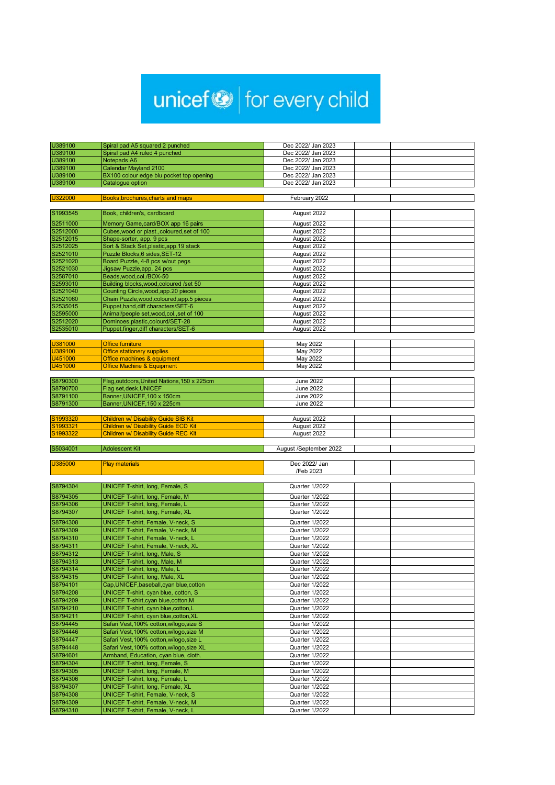## unicef<sup>®</sup> for every child

| U389100  |                                                                       | Dec 2022/ Jan 2023     |  |
|----------|-----------------------------------------------------------------------|------------------------|--|
| U389100  | Spiral pad A5 squared 2 punched<br>Spiral pad A4 ruled 4 punched      | Dec 2022/ Jan 2023     |  |
| U389100  | Notepads A6                                                           | Dec 2022/ Jan 2023     |  |
| U389100  | Calendar Mayland 2100                                                 | Dec 2022/ Jan 2023     |  |
| U389100  | BX100 colour edge blu pocket top opening                              | Dec 2022/ Jan 2023     |  |
| U389100  | Catalogue option                                                      | Dec 2022/ Jan 2023     |  |
|          |                                                                       |                        |  |
| U322000  | Books, brochures, charts and maps                                     | February 2022          |  |
|          |                                                                       |                        |  |
| S1993545 | Book, children's, cardboard                                           | August 2022            |  |
| S2511000 | Memory Game, card/BOX app 16 pairs                                    | August 2022            |  |
| S2512000 | Cubes, wood or plast., coloured, set of 100                           | August 2022            |  |
| S2512015 | Shape-sorter, app. 9 pcs                                              | August 2022            |  |
| S2512025 | Sort & Stack Set, plastic, app. 19 stack                              | August 2022            |  |
| S2521010 | Puzzle Blocks, 6 sides, SET-12                                        | August 2022            |  |
| S2521020 | Board Puzzle, 4-8 pcs w/out pegs                                      | August 2022            |  |
| S2521030 | Jigsaw Puzzle, app. 24 pcs                                            | August 2022            |  |
| S2587010 | Beads, wood, col, /BOX-50                                             | August 2022            |  |
| S2593010 | Building blocks, wood, coloured /set 50                               | August 2022            |  |
| S2521040 | Counting Circle, wood, app. 20 pieces                                 | August 2022            |  |
| S2521060 | Chain Puzzle, wood, coloured, app. 5 pieces                           | August 2022            |  |
| S2535015 | Puppet, hand, diff characters/SET-6                                   | August 2022            |  |
| S2595000 | Animal/people set, wood, col., set of 100                             | August 2022            |  |
| S2512020 | Dominoes, plastic, colourd/SET-28                                     | August 2022            |  |
| S2535010 | Puppet, finger, diff characters/SET-6                                 | August 2022            |  |
|          |                                                                       |                        |  |
| U381000  | <b>Office furniture</b>                                               | May 2022               |  |
| U389100  | <b>Office stationery supplies</b>                                     | May 2022               |  |
| U451000  | Office machines & equipment                                           | May 2022               |  |
| U451000  | <b>Office Machine &amp; Equipment</b>                                 | May 2022               |  |
| S8790300 |                                                                       | <b>June 2022</b>       |  |
| S8790700 | Flag, outdoors, United Nations, 150 x 225cm<br>Flag set, desk, UNICEF | <b>June 2022</b>       |  |
| S8791100 | Banner, UNICEF, 100 x 150cm                                           | <b>June 2022</b>       |  |
| S8791300 | Banner, UNICEF, 150 x 225cm                                           | <b>June 2022</b>       |  |
|          |                                                                       |                        |  |
| S1993320 | <b>Children w/ Disability Guide SIB Kit</b>                           | August 2022            |  |
| S1993321 | <b>Children w/ Disability Guide ECD Kit</b>                           | August 2022            |  |
| S1993322 | <b>Children w/ Disability Guide REC Kit</b>                           | August 2022            |  |
|          |                                                                       |                        |  |
| S5034001 | <b>Adolescent Kit</b>                                                 | August /September 2022 |  |
|          |                                                                       |                        |  |
| U385000  | <b>Play materials</b>                                                 | Dec 2022/ Jan          |  |
|          |                                                                       | /Feb 2023              |  |
|          |                                                                       |                        |  |
| S8794304 | UNICEF T-shirt, long, Female, S                                       | Quarter 1/2022         |  |
| S8794305 | UNICEF T-shirt, long, Female, M                                       | Quarter 1/2022         |  |
| S8794306 | UNICEF T-shirt, long, Female, L                                       | Quarter 1/2022         |  |
| S8794307 | UNICEF T-shirt, long, Female, XL                                      | Quarter 1/2022         |  |
| S8794308 | <b>UNICEF T-shirt, Female, V-neck, S</b>                              | Quarter 1/2022         |  |
| S8794309 | UNICEF T-shirt, Female, V-neck, M                                     | Quarter 1/2022         |  |
|          |                                                                       |                        |  |

| 158794310 | UNICEF 1-Shirt, Female, V-neck, L         | Quarter 1/2022 |  |
|-----------|-------------------------------------------|----------------|--|
| S8794311  | <b>UNICEF T-shirt, Female, V-neck, XL</b> | Quarter 1/2022 |  |
| S8794312  | UNICEF T-shirt, long, Male, S             | Quarter 1/2022 |  |
| S8794313  | <b>UNICEF T-shirt, long, Male, M</b>      | Quarter 1/2022 |  |
| S8794314  | <b>UNICEF T-shirt, long, Male, L</b>      | Quarter 1/2022 |  |
| S8794315  | UNICEF T-shirt, long, Male, XL            | Quarter 1/2022 |  |
| S8794101  | Cap, UNICEF, baseball, cyan blue, cotton  | Quarter 1/2022 |  |
| S8794208  | UNICEF T-shirt, cyan blue, cotton, S      | Quarter 1/2022 |  |
| S8794209  | UNICEF T-shirt, cyan blue, cotton, M      | Quarter 1/2022 |  |
| S8794210  | UNICEF T-shirt, cyan blue, cotton, L      | Quarter 1/2022 |  |
| S8794211  | UNICEF T-shirt, cyan blue, cotton, XL     | Quarter 1/2022 |  |
| S8794445  | Safari Vest, 100% cotton, w/logo, size S  | Quarter 1/2022 |  |
| S8794446  | Safari Vest, 100% cotton, w/logo, size M  | Quarter 1/2022 |  |
| S8794447  | Safari Vest, 100% cotton, w/logo, size L  | Quarter 1/2022 |  |
| S8794448  | Safari Vest, 100% cotton, w/logo, size XL | Quarter 1/2022 |  |
| S8794601  | Armband, Education, cyan blue, cloth.     | Quarter 1/2022 |  |
| S8794304  | UNICEF T-shirt, long, Female, S           | Quarter 1/2022 |  |
| S8794305  | UNICEF T-shirt, long, Female, M           | Quarter 1/2022 |  |
| S8794306  | UNICEF T-shirt, long, Female, L           | Quarter 1/2022 |  |
| S8794307  | UNICEF T-shirt, long, Female, XL          | Quarter 1/2022 |  |
| S8794308  | UNICEF T-shirt, Female, V-neck, S         | Quarter 1/2022 |  |
| S8794309  | UNICEF T-shirt, Female, V-neck, M         | Quarter 1/2022 |  |
| S8794310  | <b>UNICEF T-shirt, Female, V-neck, L</b>  | Quarter 1/2022 |  |